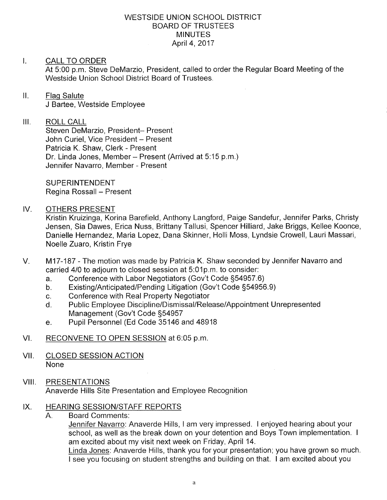#### WESTSIDE UNION SCHOOL DISTRICT BOARD OF TRUSTEES MINUTES April 4, 2017

#### I. CALL TO ORDER

At 5:00 p.m. Steve DeMarzio, President, called to order the Regular Board Meeting of the Westside Union School District Board of Trustees.

### ll. Flaq Salute

J Bartee, Westside Employee

#### Ш. ROLL CALL

Steven DeMarzio, President- Present John Curiel, Vice President - Present Patricia K. Shaw, Clerk - Present Dr. Linda Jones, Member - Present (Arrived at 5:15 p.m.) Jennifer Navarro, Member - Present

**SUPERINTENDENT** Regina Rossall - Present

#### IV. OTHERS PRESENT

Kristin Kruizinga, Korina Barefield, Anthony Langford, Paige Sandefur, Jennifer Parks, Christy Jensen, Sia Dawes, Erica Nuss, Brittany Tallusi, Spencer Hilliard, Jake Briggs, Kellee Koonce, Danielle Hernandez, Maria Lopez, Dana Skinner, Holli Moss, Lyndsie Crowell, Lauri Massari, Noelle Zuaro, Kristin Frye

- M17-187 The motion was made by Patricia K. Shaw seconded by Jennifer Navarro and carried 4/0 to adjourn to closed session at 5:01p.m. to consider:<br>a. Conference with Labor Negotiators (Gov't Code §54957.6)  $V_{\cdot}$ 
	-
	- a. Conference with Labor Negotiators (Gov't Code §54957.6)<br>b. Existing/Anticipated/Pending Litigation (Gov't Code §54956.9)<br>c. Conference with Real Property Negotiator
	-
	- c. Conference with Real Property Negotiator<br>d. Public Employee Discipline/Dismissal/Release/Appointment Unrepresented Management (Gov't Code S54957
	- e. Pupil Personnel (Ed Code 35146 and 48918
- Vl. RECONVENE TO OPEN SESSION at 6:05 p.m
- VII. CLOSED SESSION ACTION None
- VIII. PRESENTATIONS Anaverde Hills Site Presentation and Employee Recognition

#### HEARING SESSION/STAFF REPORTS IX

Board Comments: A.

Jennifer Navarro: Anaverde Hills, I am very impressed. I enjoyed hearing about your school, as well as the break down on your detention and Boys Town implementation. I am excited about my visit next week on Friday, April 14.

L<u>inda Jones</u>: Anaverde Hills, thank you for your presentation; you have grown so much <sup>I</sup>see you focusing on student strengths and building on that. I am excited about you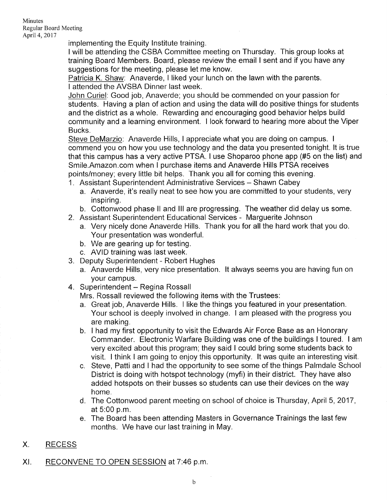Minutes Regular Board Meeting April4,2017

implementing the Equity lnstitute training.

<sup>I</sup>will be attending the CSBA Committee meeting on Thursday. This group looks at training Board Members. Board, please review the email I sent and if you have any suggestions for the meeting, please let me know.

<u>Patricia K. Shaw</u>: Anaverde, I liked your lunch on the lawn with the parents I attended the AVSBA Dinner last week.

John Curiel: Good job, Anaverde; you should be commended on your passion for students. Having a plan of action and using the data will do positive things for students and the district as a whole. Rewarding and encouraging good behavior helps build community and a learning environment. I look forward to hearing more about the Viper Bucks.

Steve DeMarzio: Anaverde Hills, I appreciate what you are doing on campus. I commend you on how you use technology and the data you presented tonight. lt is true that this campus has a very active PTSA. I use Shoparoo phone app (#5 on the list) and Smile.Amazon.com when I purchase items and Anaverde Hills PTSA receives points/money; every little bit helps. Thank you all for coming this evening.

1. Assistant Superintendent Administrative Services - Shawn Cabey

- a. Anaverde, it's really neat to see how you are committed to your students, very inspiring.
- b. Cottonwood phase ll and lll are progressing. The weather did delay us some.
- 2. Assistant Superintendent Educational Services Marguerite Johnson
	- a. Very nicely done Anaverde Hills. Thank you for all the hard work that you do. Your presentation was wonderful.
	- b. We are gearing up for testing.
	- c. AVID training was last week.
- 3. Deputy Superintendent Robert Hughes
	- a. Anaverde Hills, very nice presentation. lt always seems you are having fun on
- your campus.<br>4. Superintendent Regina Rossall

Mrs. Rossall reviewed the following items with the Trustees:

- a. Great job, Anaverde Hills. I like the things you featured in your presentation. Your school is deeply involved in change. I am pleased with the progress you
- are making.<br>b. I had my first opportunity to visit the Edwards Air Force Base as an Honorary Commander. Electronic Warfare Building was one of the buildings I toured. I am very excited about this program; they said I could bring some students back to visit. I think I am going to enjoy this opporlunity. lt was quite an interesting visit.
- c. Steve, Patti and I had the opportunity to see some of the things Palmdale School District is doing with hotspot technology (myfi) in their district. They have also added hotspots on their busses so students can use their devices on the way home.
- d. The Cottonwood parent meeting on school of choice is Thursday, April 5,2017, at 5:00 p.m.
- e. The Board has been attending Masters in Governance Trainings the last few months. We have our last training in May.
- X. RECESS
- XI. RECONVENE TO OPEN SESSION at 7:46 p.m.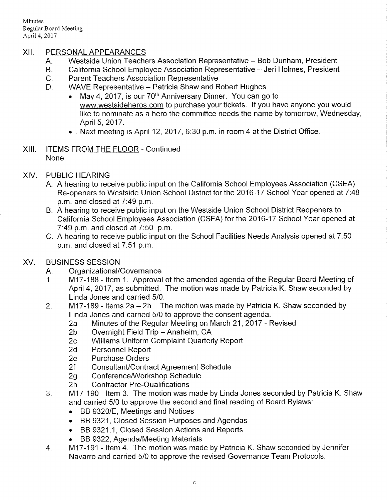Minutes Regular Board Meeting April 4, 2017

## XII. PERSONAL APPEARANCES

- 
- A. Westside Union Teachers Association Representative Bob Dunham, President<br>B. California School Employee Association Representative Jeri Holmes, President<br>C. Parent Teachers Association Representative<br>D. WAVE Represen
- 
- - May 4, 2017, is our  $70<sup>th</sup>$  Anniversary Dinner. You can go to www.westsideheros.com to purchase your tickets. lf you have anyone you would like to nominate as a hero the committee needs the name by tomorrow, Wednesday, April 5, 2017.
	- $\bullet$  Next meeting is April 12, 2017, 6:30 p.m. in room 4 at the District Office.
- Xlll. ITEMS FROM THE FLOOR Continued None
- XIV. PUBLIC HEARING
	- A. A hearing to receive public input on the California School Employees Association (CSEA) Re-openers to Westside Union School District for the 2016-17 School Year opened at 7:48 p.m. and closed at 7:49 p.m.
	- B. A hearing to receive public input on the Westside Union School District Reopeners to California School Employees Association (CSEA) for the 2016-17 School Year opened at 7'.49 p.m. and closed at 7:50 p.m.
	- C. A hearing to receive public input on the School Facilities Needs Analysis opened at 7.50 p.m. and closed at 7:51 p.m.

# XV. BUSINESS SESSION

- 
- A. Organizational/Governance<br>1. M17-188 Item 1. Approval of the amended agenda of the Regular Board Meeting of April 4, 2017, as submitted. The motion was made by Patricia K. Shaw seconded by Linda Jones and carried 5/0.
- 2.  $M17-189$  Items 2a 2h. The motion was made by Patricia K. Shaw seconded by
	- Linda Jones and carried 5/0 to approve the consent agenda.<br>
	2a Minutes of the Regular Meeting on March 21, 2017 Revised<br>
	2b Overnight Field Trip Anaheim, CA<br>
	2c Williams Uniform Complaint Quarterly Report<br>
	2d Personnel
	-
	-
	-
	-
	- 2f Consultant/Contract Agreement Schedule<br>2g Conference/Workshop Schedule<br>2h Contractor Pre-Qualifications
	-
	-
- 3. M17-190 Item 3. The motion was made by Linda Jones seconded by Patricia K. Shaw and carried 5/0 to approve the second and final reading of Board Bylaws:
	- BB 9320/E, Meetings and Notices
	- . BB 9321, Closed Session Purposes and Agendas
	- . BB 9321.1, Closed Session Actions and Repofts
	-
- BB 9322, Agenda/Meeting Materials <br>4. loman ltem 4. The motion was made by Patricia K. Shaw seconded by Jennifer Navarro and carried 5/0 to approve the revised Governance Team Protocols.